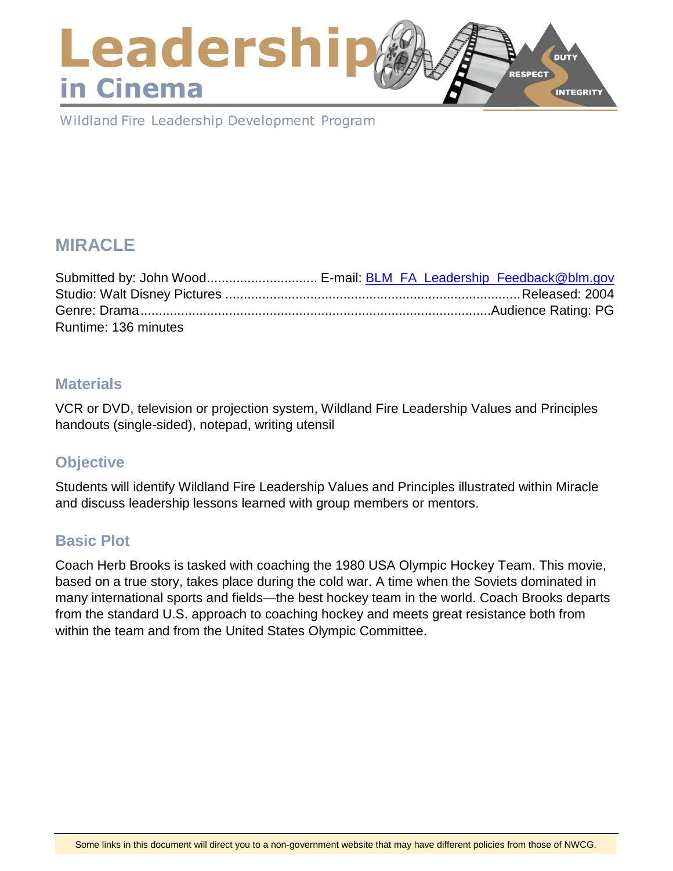## Leadershi **DUTY RESPECT** in Cinema **INTEGRITY**

Wildland Fire Leadership Development Program

# **MIRACLE**

|                      | Submitted by: John Wood E-mail: <b>BLM_FA_Leadership_Feedback@blm.gov</b> |
|----------------------|---------------------------------------------------------------------------|
|                      |                                                                           |
|                      |                                                                           |
| Runtime: 136 minutes |                                                                           |

### **Materials**

VCR or DVD, television or projection system, Wildland Fire Leadership Values and Principles handouts (single-sided), notepad, writing utensil

### **Objective**

Students will identify Wildland Fire Leadership Values and Principles illustrated within Miracle and discuss leadership lessons learned with group members or mentors.

### **Basic Plot**

Coach Herb Brooks is tasked with coaching the 1980 USA Olympic Hockey Team. This movie, based on a true story, takes place during the cold war. A time when the Soviets dominated in many international sports and fields—the best hockey team in the world. Coach Brooks departs from the standard U.S. approach to coaching hockey and meets great resistance both from within the team and from the United States Olympic Committee.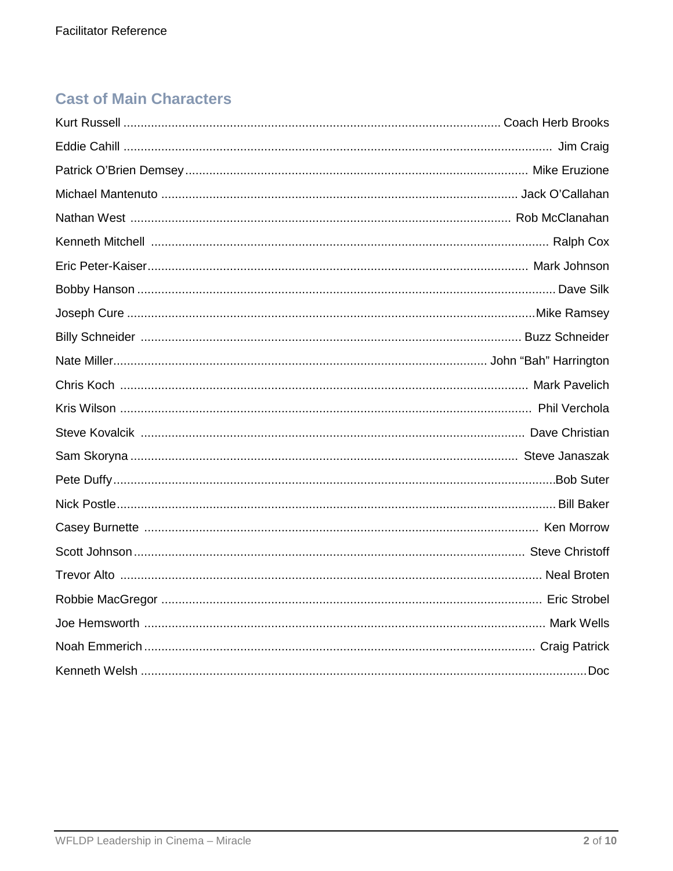## **Cast of Main Characters**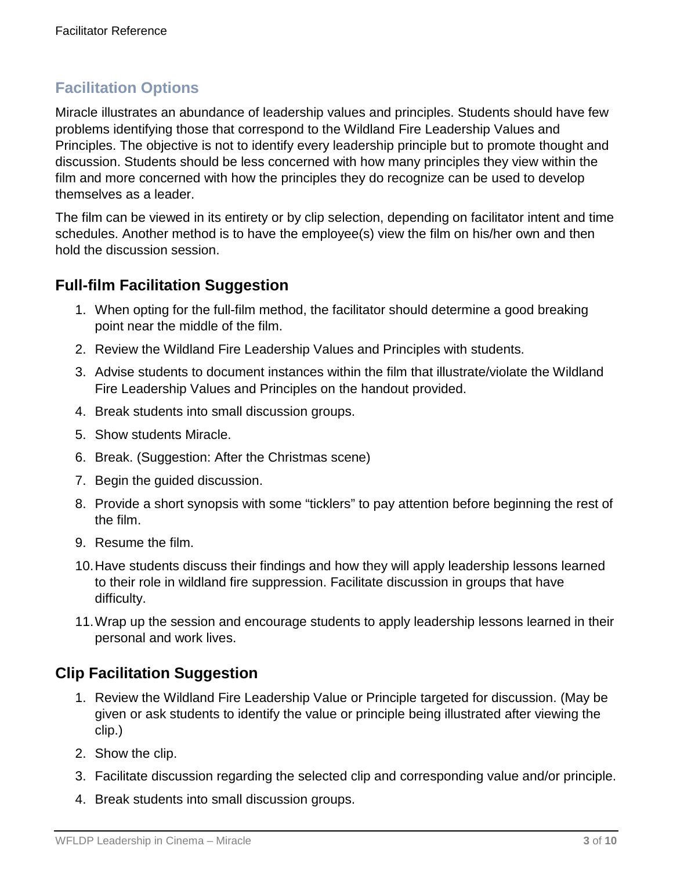## **Facilitation Options**

Miracle illustrates an abundance of leadership values and principles. Students should have few problems identifying those that correspond to the Wildland Fire Leadership Values and Principles. The objective is not to identify every leadership principle but to promote thought and discussion. Students should be less concerned with how many principles they view within the film and more concerned with how the principles they do recognize can be used to develop themselves as a leader.

The film can be viewed in its entirety or by clip selection, depending on facilitator intent and time schedules. Another method is to have the employee(s) view the film on his/her own and then hold the discussion session.

## **Full-film Facilitation Suggestion**

- 1. When opting for the full-film method, the facilitator should determine a good breaking point near the middle of the film.
- 2. Review the Wildland Fire Leadership Values and Principles with students.
- 3. Advise students to document instances within the film that illustrate/violate the Wildland Fire Leadership Values and Principles on the handout provided.
- 4. Break students into small discussion groups.
- 5. Show students Miracle.
- 6. Break. (Suggestion: After the Christmas scene)
- 7. Begin the guided discussion.
- 8. Provide a short synopsis with some "ticklers" to pay attention before beginning the rest of the film.
- 9. Resume the film.
- 10.Have students discuss their findings and how they will apply leadership lessons learned to their role in wildland fire suppression. Facilitate discussion in groups that have difficulty.
- 11.Wrap up the session and encourage students to apply leadership lessons learned in their personal and work lives.

## **Clip Facilitation Suggestion**

- 1. Review the Wildland Fire Leadership Value or Principle targeted for discussion. (May be given or ask students to identify the value or principle being illustrated after viewing the clip.)
- 2. Show the clip.
- 3. Facilitate discussion regarding the selected clip and corresponding value and/or principle.
- 4. Break students into small discussion groups.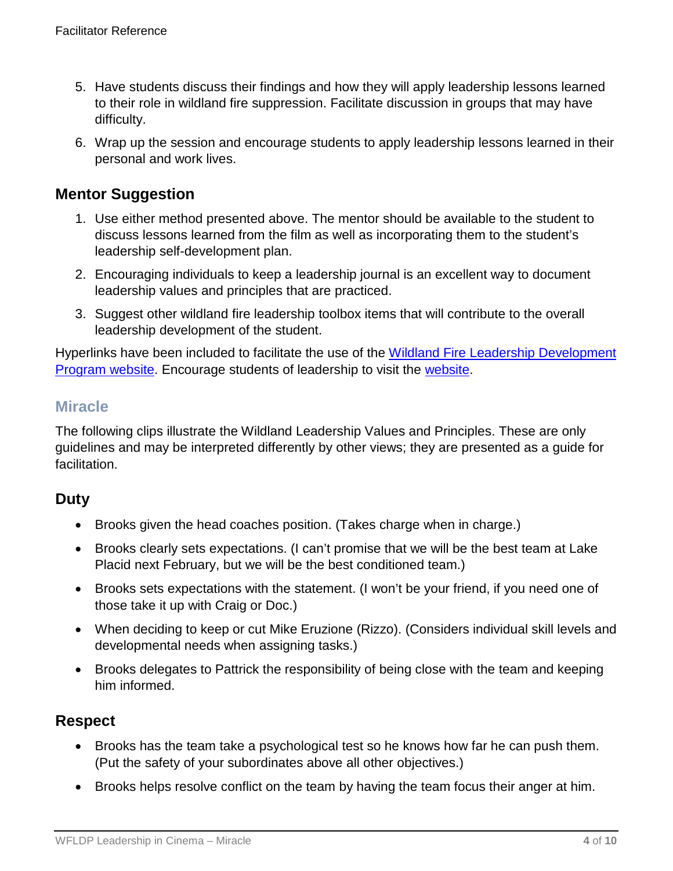- 5. Have students discuss their findings and how they will apply leadership lessons learned to their role in wildland fire suppression. Facilitate discussion in groups that may have difficulty.
- 6. Wrap up the session and encourage students to apply leadership lessons learned in their personal and work lives.

## **Mentor Suggestion**

- 1. Use either method presented above. The mentor should be available to the student to discuss lessons learned from the film as well as incorporating them to the student's leadership self-development plan.
- 2. Encouraging individuals to keep a leadership journal is an excellent way to document leadership values and principles that are practiced.
- 3. Suggest other wildland fire leadership toolbox items that will contribute to the overall leadership development of the student.

Hyperlinks have been included to facilitate the use of the [Wildland Fire Leadership Development](https://www.fireleadership.gov/)  [Program website.](https://www.fireleadership.gov/) Encourage students of leadership to visit the [website.](https://www.fireleadership.gov/)

## **Miracle**

The following clips illustrate the Wildland Leadership Values and Principles. These are only guidelines and may be interpreted differently by other views; they are presented as a guide for facilitation.

## **Duty**

- Brooks given the head coaches position. (Takes charge when in charge.)
- Brooks clearly sets expectations. (I can't promise that we will be the best team at Lake Placid next February, but we will be the best conditioned team.)
- Brooks sets expectations with the statement. (I won't be your friend, if you need one of those take it up with Craig or Doc.)
- When deciding to keep or cut Mike Eruzione (Rizzo). (Considers individual skill levels and developmental needs when assigning tasks.)
- Brooks delegates to Pattrick the responsibility of being close with the team and keeping him informed.

## **Respect**

- Brooks has the team take a psychological test so he knows how far he can push them. (Put the safety of your subordinates above all other objectives.)
- Brooks helps resolve conflict on the team by having the team focus their anger at him.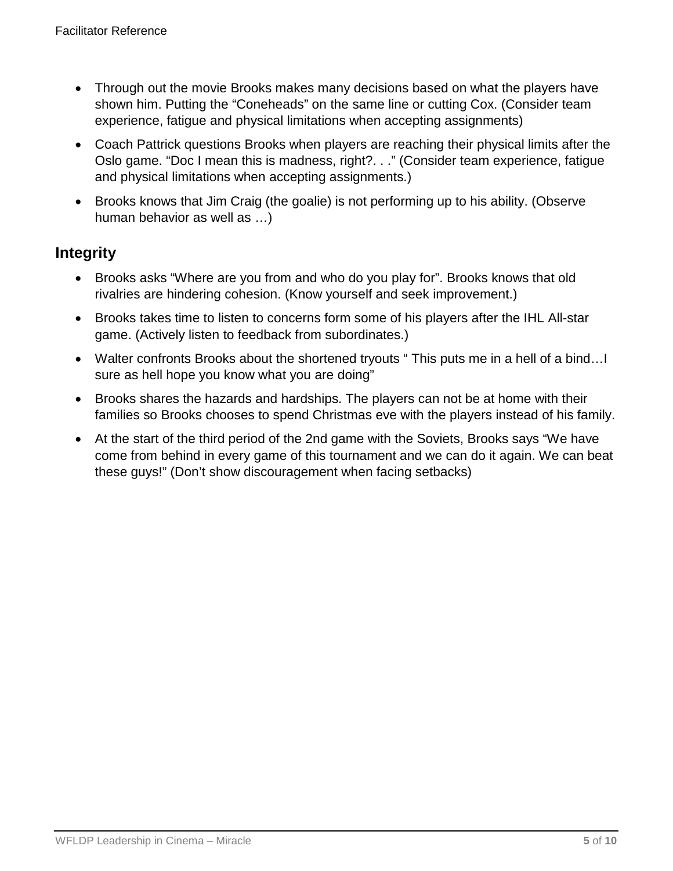- Through out the movie Brooks makes many decisions based on what the players have shown him. Putting the "Coneheads" on the same line or cutting Cox. (Consider team experience, fatigue and physical limitations when accepting assignments)
- Coach Pattrick questions Brooks when players are reaching their physical limits after the Oslo game. "Doc I mean this is madness, right?. . ." (Consider team experience, fatigue and physical limitations when accepting assignments.)
- Brooks knows that Jim Craig (the goalie) is not performing up to his ability. (Observe human behavior as well as …)

## **Integrity**

- Brooks asks "Where are you from and who do you play for". Brooks knows that old rivalries are hindering cohesion. (Know yourself and seek improvement.)
- Brooks takes time to listen to concerns form some of his players after the IHL All-star game. (Actively listen to feedback from subordinates.)
- Walter confronts Brooks about the shortened tryouts " This puts me in a hell of a bind... sure as hell hope you know what you are doing"
- Brooks shares the hazards and hardships. The players can not be at home with their families so Brooks chooses to spend Christmas eve with the players instead of his family.
- At the start of the third period of the 2nd game with the Soviets, Brooks says "We have come from behind in every game of this tournament and we can do it again. We can beat these guys!" (Don't show discouragement when facing setbacks)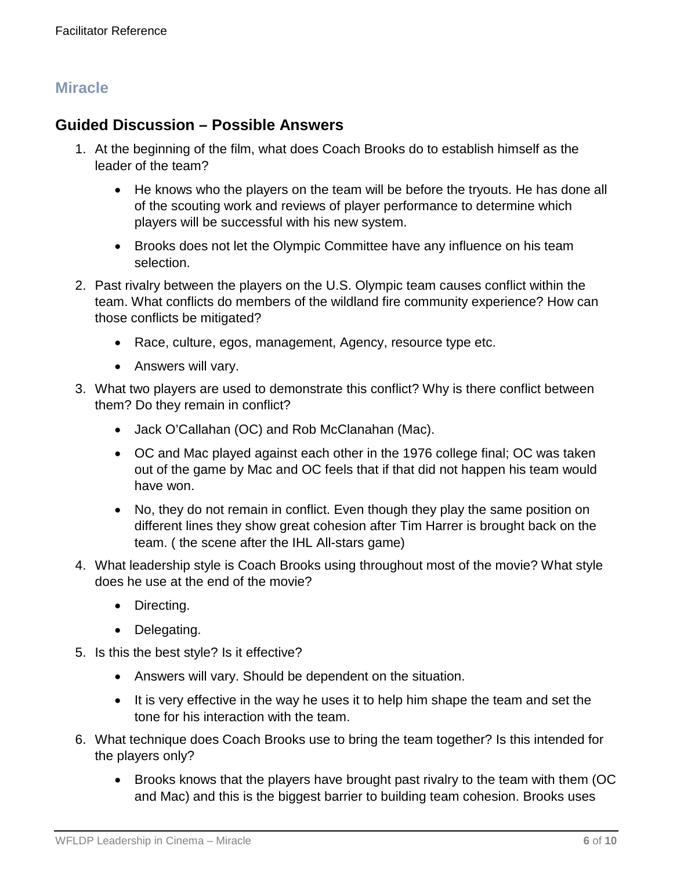## **Miracle**

### **Guided Discussion – Possible Answers**

- 1. At the beginning of the film, what does Coach Brooks do to establish himself as the leader of the team?
	- He knows who the players on the team will be before the tryouts. He has done all of the scouting work and reviews of player performance to determine which players will be successful with his new system.
	- Brooks does not let the Olympic Committee have any influence on his team selection.
- 2. Past rivalry between the players on the U.S. Olympic team causes conflict within the team. What conflicts do members of the wildland fire community experience? How can those conflicts be mitigated?
	- Race, culture, egos, management, Agency, resource type etc.
	- Answers will vary.
- 3. What two players are used to demonstrate this conflict? Why is there conflict between them? Do they remain in conflict?
	- Jack O'Callahan (OC) and Rob McClanahan (Mac).
	- OC and Mac played against each other in the 1976 college final; OC was taken out of the game by Mac and OC feels that if that did not happen his team would have won.
	- No, they do not remain in conflict. Even though they play the same position on different lines they show great cohesion after Tim Harrer is brought back on the team. ( the scene after the IHL All-stars game)
- 4. What leadership style is Coach Brooks using throughout most of the movie? What style does he use at the end of the movie?
	- Directing.
	- Delegating.
- 5. Is this the best style? Is it effective?
	- Answers will vary. Should be dependent on the situation.
	- It is very effective in the way he uses it to help him shape the team and set the tone for his interaction with the team.
- 6. What technique does Coach Brooks use to bring the team together? Is this intended for the players only?
	- Brooks knows that the players have brought past rivalry to the team with them (OC and Mac) and this is the biggest barrier to building team cohesion. Brooks uses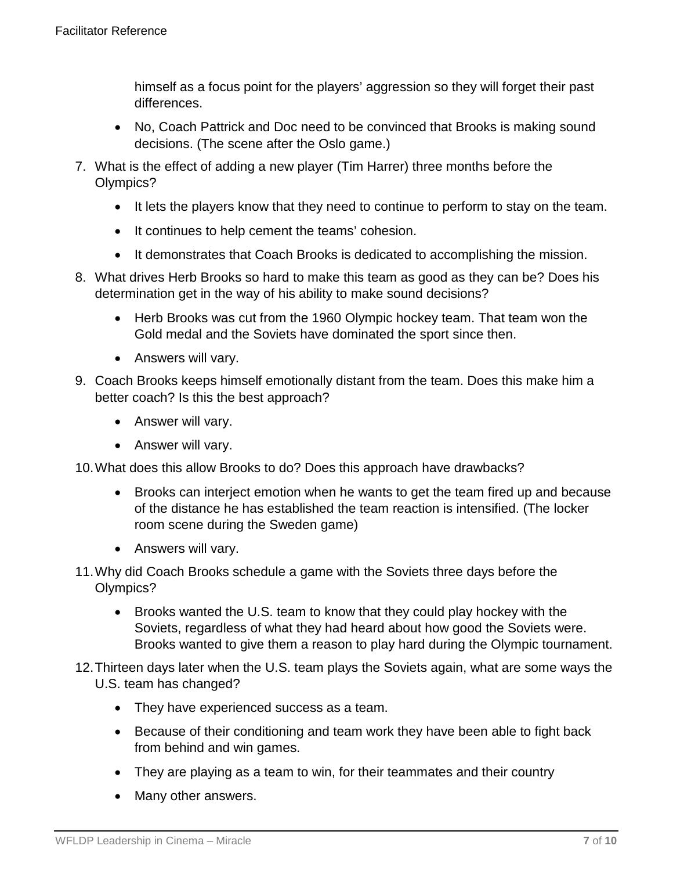himself as a focus point for the players' aggression so they will forget their past differences.

- No, Coach Pattrick and Doc need to be convinced that Brooks is making sound decisions. (The scene after the Oslo game.)
- 7. What is the effect of adding a new player (Tim Harrer) three months before the Olympics?
	- It lets the players know that they need to continue to perform to stay on the team.
	- It continues to help cement the teams' cohesion.
	- It demonstrates that Coach Brooks is dedicated to accomplishing the mission.
- 8. What drives Herb Brooks so hard to make this team as good as they can be? Does his determination get in the way of his ability to make sound decisions?
	- Herb Brooks was cut from the 1960 Olympic hockey team. That team won the Gold medal and the Soviets have dominated the sport since then.
	- Answers will vary.
- 9. Coach Brooks keeps himself emotionally distant from the team. Does this make him a better coach? Is this the best approach?
	- Answer will vary.
	- Answer will vary.

10.What does this allow Brooks to do? Does this approach have drawbacks?

- Brooks can interject emotion when he wants to get the team fired up and because of the distance he has established the team reaction is intensified. (The locker room scene during the Sweden game)
- Answers will vary.
- 11.Why did Coach Brooks schedule a game with the Soviets three days before the Olympics?
	- Brooks wanted the U.S. team to know that they could play hockey with the Soviets, regardless of what they had heard about how good the Soviets were. Brooks wanted to give them a reason to play hard during the Olympic tournament.
- 12.Thirteen days later when the U.S. team plays the Soviets again, what are some ways the U.S. team has changed?
	- They have experienced success as a team.
	- Because of their conditioning and team work they have been able to fight back from behind and win games.
	- They are playing as a team to win, for their teammates and their country
	- Many other answers.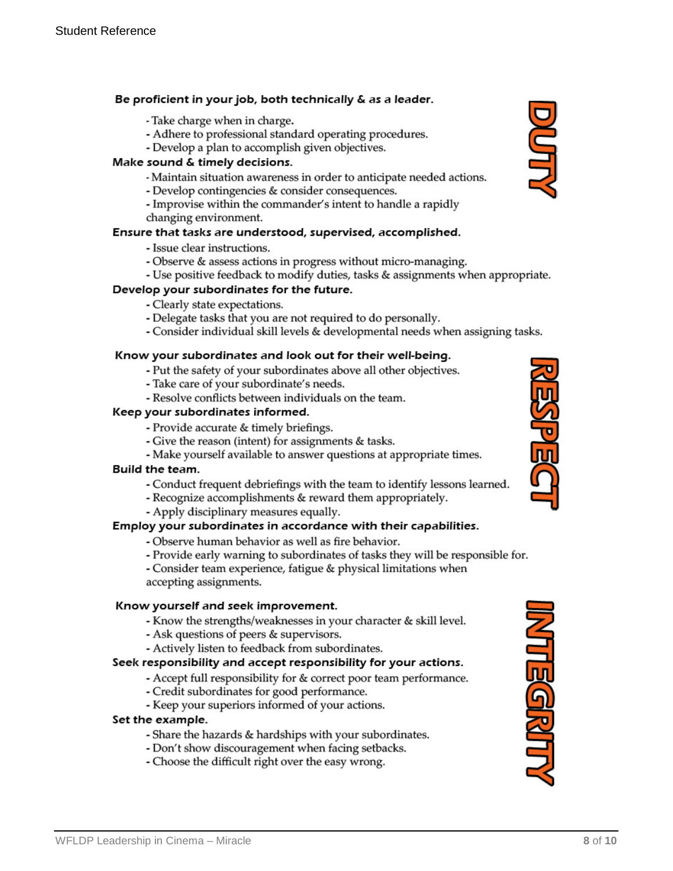#### Be proficient in your job, both technically & as a leader.

- Take charge when in charge.
- Adhere to professional standard operating procedures.
- Develop a plan to accomplish given objectives.

#### Make sound & timely decisions.

- Maintain situation awareness in order to anticipate needed actions.
- Develop contingencies & consider consequences.
- Improvise within the commander's intent to handle a rapidly changing environment.

#### Ensure that tasks are understood, supervised, accomplished.

- Issue clear instructions.
- Observe & assess actions in progress without micro-managing.
- Use positive feedback to modify duties, tasks & assignments when appropriate.

#### Develop your subordinates for the future.

- Clearly state expectations.
- Delegate tasks that you are not required to do personally.
- Consider individual skill levels & developmental needs when assigning tasks.

#### Know your subordinates and look out for their well-being.

- Put the safety of your subordinates above all other objectives.
- Take care of your subordinate's needs.
- Resolve conflicts between individuals on the team.

#### Keep your subordinates informed.

- Provide accurate & timely briefings.
- Give the reason (intent) for assignments & tasks.
- Make yourself available to answer questions at appropriate times.

#### Build the team.

- Conduct frequent debriefings with the team to identify lessons learned.
- Recognize accomplishments & reward them appropriately.
- Apply disciplinary measures equally.

#### Employ your subordinates in accordance with their capabilities.

- Observe human behavior as well as fire behavior.
- Provide early warning to subordinates of tasks they will be responsible for.
- Consider team experience, fatigue & physical limitations when accepting assignments.

#### Know yourself and seek improvement.

- Know the strengths/weaknesses in your character & skill level.
- Ask questions of peers & supervisors.
- Actively listen to feedback from subordinates.

#### Seek responsibility and accept responsibility for your actions.

- Accept full responsibility for & correct poor team performance.
- Credit subordinates for good performance.
- Keep your superiors informed of your actions.

#### Set the example.

- Share the hazards & hardships with your subordinates.
- Don't show discouragement when facing setbacks.
- Choose the difficult right over the easy wrong.





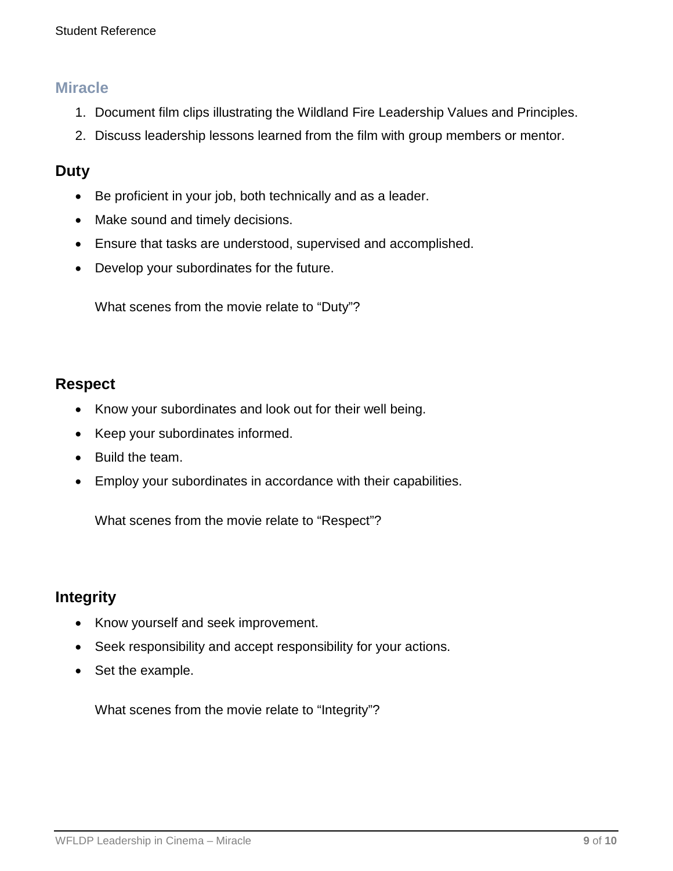### **Miracle**

- 1. Document film clips illustrating the Wildland Fire Leadership Values and Principles.
- 2. Discuss leadership lessons learned from the film with group members or mentor.

### **Duty**

- Be proficient in your job, both technically and as a leader.
- Make sound and timely decisions.
- Ensure that tasks are understood, supervised and accomplished.
- Develop your subordinates for the future.

What scenes from the movie relate to "Duty"?

## **Respect**

- Know your subordinates and look out for their well being.
- Keep your subordinates informed.
- Build the team.
- Employ your subordinates in accordance with their capabilities.

What scenes from the movie relate to "Respect"?

## **Integrity**

- Know yourself and seek improvement.
- Seek responsibility and accept responsibility for your actions.
- Set the example.

What scenes from the movie relate to "Integrity"?